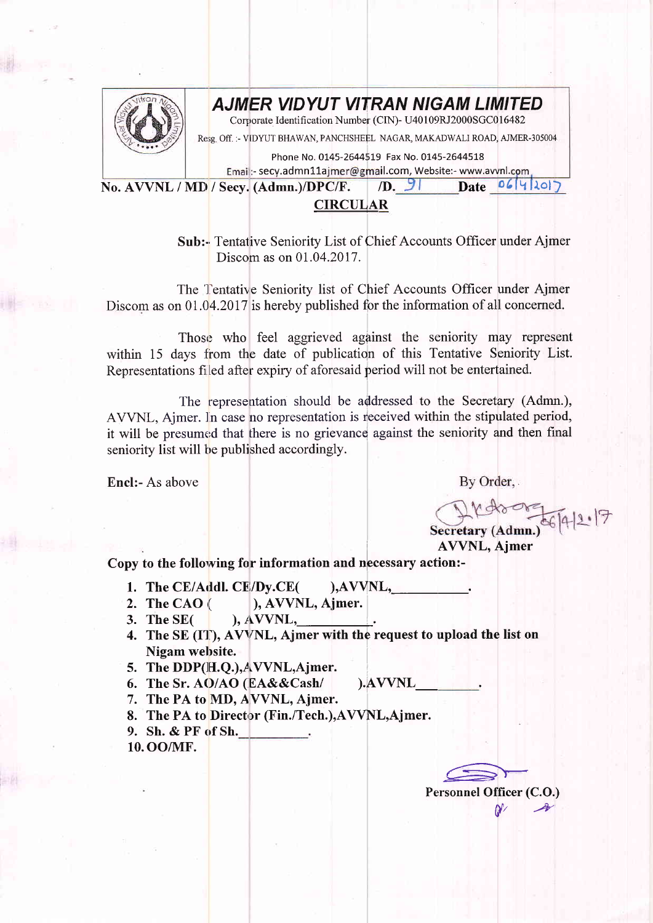

## AJMER VIDYUT VITRAN NIGAM LIMITED

Corporate Identification Number (CIN)- U40109RJ2000SGC016482

Resg. Off. :- VIDYUT BHAWAN, PANCHSHEEL NAGAR, MAKADWALI ROAD, AJMER-305004

Phone No. 0145-2644519 Fax No. 0145-2644518

Emai :- secy.admn11ajmer@gmail.com, Website:- www.avvnl.com  $Date 06|4|20|7$ 

No. AVVNL / MD / Secv. (Admn.)/DPC/F.  $\sqrt{D}$ ,  $\sqrt{2}$ 

**CIRCULAR** 

Sub:- Tentative Seniority List of Chief Accounts Officer under Ajmer Discom as on 01.04.2017.

The Tentative Seniority list of Chief Accounts Officer under Ajmer Discom as on 01.04.2017 is hereby published for the information of all concerned.

Those who feel aggrieved against the seniority may represent within 15 days from the date of publication of this Tentative Seniority List. Representations filed after expiry of aforesaid period will not be entertained.

The representation should be addressed to the Secretary (Admn.), AVVNL, Aimer. In case no representation is received within the stipulated period, it will be presumed that there is no grievance against the seniority and then final seniority list will be published accordingly.

Encl:- As above

By Order,

Secretary (Admn.)

**AVVNL, Ajmer** 

Copy to the following for information and necessary action:-

- 1. The CE/Addl. CE/Dy.CE(  $AVVNL$ ,
- ), AVVNL, Ajmer. 2. The CAO $\left($
- 3. The SE(  $AVVNL$ ,
- 4. The SE (IT), AVVNL, Ajmer with the request to upload the list on Nigam website.

).AVVNL

- 5. The DDP(H.O.), AVVNL, Ajmer.
- 6. The Sr. AO/AO (EA&&Cash/
- 7. The PA to MD, AVVNL, Ajmer.
- 8. The PA to Director (Fin./Tech.), AVVNL, Ajmer.
- 9. Sh. & PF of Sh.
- 10.00/MF.

Personnel Officer (C.O.)